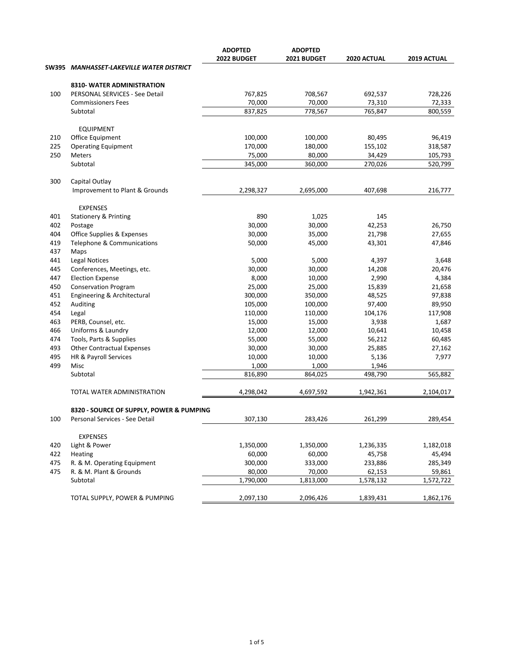|       |                                           | <b>ADOPTED</b> | <b>ADOPTED</b> |             |             |
|-------|-------------------------------------------|----------------|----------------|-------------|-------------|
|       |                                           | 2022 BUDGET    | 2021 BUDGET    | 2020 ACTUAL | 2019 ACTUAL |
| SW395 | <b>MANHASSET-LAKEVILLE WATER DISTRICT</b> |                |                |             |             |
|       | 8310- WATER ADMINISTRATION                |                |                |             |             |
| 100   | PERSONAL SERVICES - See Detail            | 767,825        | 708,567        | 692,537     | 728,226     |
|       | <b>Commissioners Fees</b>                 | 70,000         | 70,000         | 73,310      | 72,333      |
|       | Subtotal                                  | 837,825        | 778,567        | 765,847     | 800,559     |
|       | <b>EQUIPMENT</b>                          |                |                |             |             |
| 210   | Office Equipment                          | 100,000        | 100,000        | 80,495      | 96,419      |
| 225   | <b>Operating Equipment</b>                | 170,000        | 180,000        | 155,102     | 318,587     |
| 250   | Meters                                    | 75,000         | 80,000         | 34,429      | 105,793     |
|       | Subtotal                                  | 345,000        | 360,000        | 270,026     | 520,799     |
| 300   | Capital Outlay                            |                |                |             |             |
|       | Improvement to Plant & Grounds            | 2,298,327      | 2,695,000      | 407,698     | 216,777     |
|       | <b>EXPENSES</b>                           |                |                |             |             |
| 401   | <b>Stationery &amp; Printing</b>          | 890            | 1,025          | 145         |             |
| 402   | Postage                                   | 30,000         | 30,000         | 42,253      | 26,750      |
| 404   | Office Supplies & Expenses                | 30,000         | 35,000         | 21,798      | 27,655      |
| 419   | Telephone & Communications                | 50,000         | 45,000         | 43,301      | 47,846      |
| 437   | Maps                                      |                |                |             |             |
| 441   | <b>Legal Notices</b>                      | 5,000          | 5,000          | 4,397       | 3,648       |
| 445   | Conferences, Meetings, etc.               | 30,000         | 30,000         | 14,208      | 20,476      |
| 447   | <b>Election Expense</b>                   | 8,000          | 10,000         | 2,990       | 4,384       |
| 450   | <b>Conservation Program</b>               | 25,000         | 25,000         | 15,839      | 21,658      |
| 451   | Engineering & Architectural               | 300,000        | 350,000        | 48,525      | 97,838      |
| 452   | Auditing                                  | 105,000        | 100,000        | 97,400      | 89,950      |
| 454   | Legal                                     | 110,000        | 110,000        | 104,176     | 117,908     |
| 463   | PERB, Counsel, etc.                       | 15,000         | 15,000         | 3,938       | 1,687       |
| 466   | Uniforms & Laundry                        | 12,000         | 12,000         | 10,641      | 10,458      |
| 474   | Tools, Parts & Supplies                   | 55,000         | 55,000         | 56,212      | 60,485      |
| 493   | <b>Other Contractual Expenses</b>         | 30,000         | 30,000         | 25,885      | 27,162      |
| 495   | HR & Payroll Services                     | 10,000         | 10,000         | 5,136       | 7,977       |
| 499   | Misc                                      | 1,000          | 1,000          | 1,946       |             |
|       | Subtotal                                  | 816,890        | 864,025        | 498,790     | 565,882     |
|       | TOTAL WATER ADMINISTRATION                | 4,298,042      | 4,697,592      | 1,942,361   | 2,104,017   |
|       | 8320 - SOURCE OF SUPPLY, POWER & PUMPING  |                |                |             |             |
| 100   | Personal Services - See Detail            | 307,130        | 283,426        | 261,299     | 289,454     |
|       | <b>EXPENSES</b>                           |                |                |             |             |
| 420   | Light & Power                             | 1,350,000      | 1,350,000      | 1,236,335   | 1,182,018   |
| 422   | Heating                                   | 60,000         | 60,000         | 45,758      | 45,494      |
| 475   | R. & M. Operating Equipment               | 300,000        | 333,000        | 233,886     | 285,349     |
| 475   | R. & M. Plant & Grounds                   | 80,000         | 70,000         | 62,153      | 59,861      |
|       | Subtotal                                  | 1,790,000      | 1,813,000      | 1,578,132   | 1,572,722   |
|       | TOTAL SUPPLY, POWER & PUMPING             | 2,097,130      | 2,096,426      | 1,839,431   | 1,862,176   |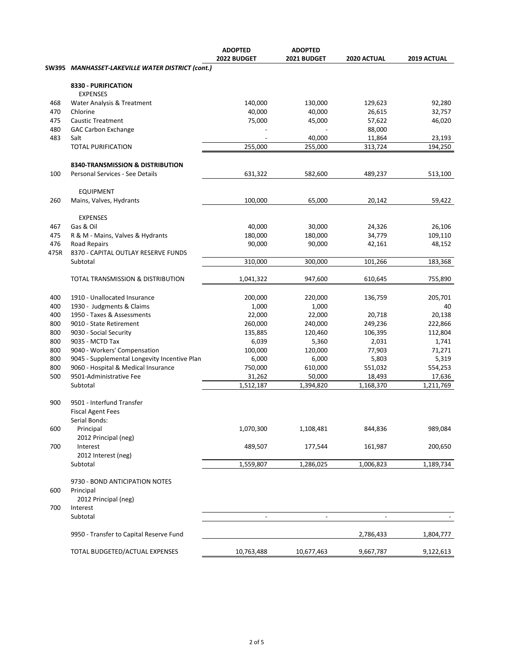|      |                                                                     | <b>ADOPTED</b><br>2022 BUDGET | <b>ADOPTED</b><br>2021 BUDGET | 2020 ACTUAL | <b>2019 ACTUAL</b> |
|------|---------------------------------------------------------------------|-------------------------------|-------------------------------|-------------|--------------------|
|      | SW395 MANHASSET-LAKEVILLE WATER DISTRICT (cont.)                    |                               |                               |             |                    |
|      | 8330 - PURIFICATION<br><b>EXPENSES</b>                              |                               |                               |             |                    |
| 468  | Water Analysis & Treatment                                          | 140,000                       | 130,000                       | 129,623     | 92,280             |
| 470  | Chlorine                                                            | 40,000                        | 40,000                        | 26,615      | 32,757             |
| 475  | <b>Caustic Treatment</b>                                            | 75,000                        | 45,000                        | 57,622      | 46,020             |
| 480  | <b>GAC Carbon Exchange</b>                                          |                               |                               | 88,000      |                    |
| 483  | Salt                                                                |                               | 40,000                        | 11,864      | 23,193             |
|      | <b>TOTAL PURIFICATION</b>                                           | 255,000                       | 255,000                       | 313,724     | 194,250            |
|      | 8340-TRANSMISSION & DISTRIBUTION                                    |                               |                               |             |                    |
| 100  | Personal Services - See Details                                     | 631,322                       | 582,600                       | 489,237     | 513,100            |
|      |                                                                     |                               |                               |             |                    |
|      | <b>EQUIPMENT</b>                                                    |                               |                               |             |                    |
| 260  | Mains, Valves, Hydrants                                             | 100,000                       | 65,000                        | 20,142      | 59,422             |
|      | <b>EXPENSES</b>                                                     |                               |                               |             |                    |
| 467  | Gas & Oil                                                           | 40,000                        | 30,000                        | 24,326      | 26,106             |
| 475  | R & M - Mains, Valves & Hydrants                                    | 180,000                       | 180,000                       | 34,779      | 109,110            |
| 476  | <b>Road Repairs</b>                                                 | 90,000                        | 90,000                        | 42,161      | 48,152             |
| 475R | 8370 - CAPITAL OUTLAY RESERVE FUNDS<br>Subtotal                     | 310,000                       | 300,000                       | 101,266     | 183,368            |
|      |                                                                     |                               |                               |             |                    |
|      | TOTAL TRANSMISSION & DISTRIBUTION                                   | 1,041,322                     | 947,600                       | 610,645     | 755,890            |
| 400  | 1910 - Unallocated Insurance                                        | 200,000                       | 220,000                       | 136,759     | 205,701            |
| 400  | 1930 - Judgments & Claims                                           | 1,000                         | 1,000                         |             | 40                 |
| 400  | 1950 - Taxes & Assessments                                          | 22,000                        | 22,000                        | 20,718      | 20,138             |
| 800  | 9010 - State Retirement                                             | 260,000                       | 240,000                       | 249,236     | 222,866            |
| 800  | 9030 - Social Security                                              | 135,885                       | 120,460                       | 106,395     | 112,804            |
| 800  | 9035 - MCTD Tax                                                     | 6,039                         | 5,360                         | 2,031       | 1,741              |
| 800  | 9040 - Workers' Compensation                                        | 100,000                       | 120,000                       | 77,903      | 71,271             |
| 800  | 9045 - Supplemental Longevity Incentive Plan                        | 6,000                         | 6,000                         | 5,803       | 5,319              |
| 800  | 9060 - Hospital & Medical Insurance                                 | 750,000                       | 610,000                       | 551,032     | 554,253            |
| 500  | 9501-Administrative Fee                                             | 31,262                        | 50,000                        | 18,493      | 17,636             |
|      | Subtotal                                                            | 1,512,187                     | 1,394,820                     | 1,168,370   | 1,211,769          |
| 900  | 9501 - Interfund Transfer<br><b>Fiscal Agent Fees</b>               |                               |                               |             |                    |
| 600  | Serial Bonds:<br>Principal<br>2012 Principal (neg)                  | 1,070,300                     | 1,108,481                     | 844,836     | 989,084            |
| 700  | Interest<br>2012 Interest (neg)                                     | 489,507                       | 177,544                       | 161,987     | 200,650            |
|      | Subtotal                                                            | 1,559,807                     | 1,286,025                     | 1,006,823   | 1,189,734          |
| 600  | 9730 - BOND ANTICIPATION NOTES<br>Principal<br>2012 Principal (neg) |                               |                               |             |                    |
| 700  | Interest                                                            |                               |                               |             |                    |
|      | Subtotal                                                            |                               |                               |             |                    |
|      | 9950 - Transfer to Capital Reserve Fund                             |                               |                               | 2,786,433   | 1,804,777          |
|      | TOTAL BUDGETED/ACTUAL EXPENSES                                      | 10,763,488                    | 10,677,463                    | 9,667,787   | 9,122,613          |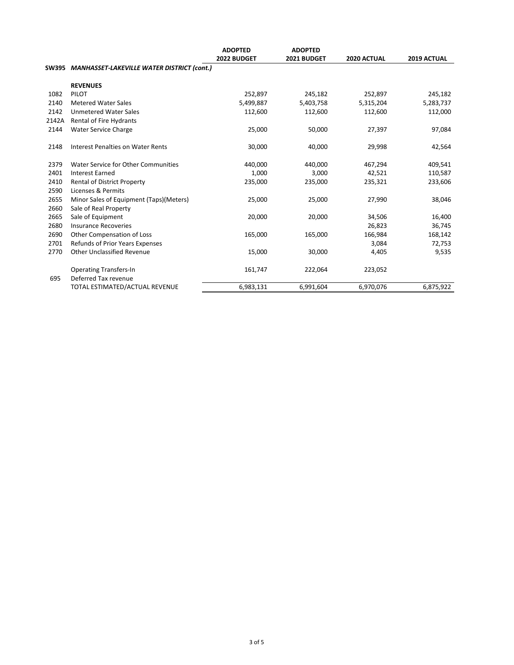|       |                                                   | <b>ADOPTED</b><br>2022 BUDGET | <b>ADOPTED</b><br>2021 BUDGET | 2020 ACTUAL | 2019 ACTUAL |
|-------|---------------------------------------------------|-------------------------------|-------------------------------|-------------|-------------|
| SW395 | <b>MANHASSET-LAKEVILLE WATER DISTRICT (cont.)</b> |                               |                               |             |             |
|       | <b>REVENUES</b>                                   |                               |                               |             |             |
| 1082  | PILOT                                             | 252,897                       | 245,182                       | 252,897     | 245,182     |
| 2140  | <b>Metered Water Sales</b>                        | 5,499,887                     | 5,403,758                     | 5,315,204   | 5,283,737   |
| 2142  | <b>Unmetered Water Sales</b>                      | 112,600                       | 112,600                       | 112,600     | 112,000     |
| 2142A | Rental of Fire Hydrants                           |                               |                               |             |             |
| 2144  | <b>Water Service Charge</b>                       | 25,000                        | 50,000                        | 27,397      | 97,084      |
| 2148  | <b>Interest Penalties on Water Rents</b>          | 30,000                        | 40,000                        | 29,998      | 42,564      |
| 2379  | Water Service for Other Communities               | 440,000                       | 440,000                       | 467,294     | 409,541     |
| 2401  | <b>Interest Earned</b>                            | 1,000                         | 3,000                         | 42,521      | 110,587     |
| 2410  | <b>Rental of District Property</b>                | 235,000                       | 235,000                       | 235,321     | 233,606     |
| 2590  | Licenses & Permits                                |                               |                               |             |             |
| 2655  | Minor Sales of Equipment (Taps)(Meters)           | 25,000                        | 25,000                        | 27,990      | 38,046      |
| 2660  | Sale of Real Property                             |                               |                               |             |             |
| 2665  | Sale of Equipment                                 | 20,000                        | 20,000                        | 34,506      | 16,400      |
| 2680  | <b>Insurance Recoveries</b>                       |                               |                               | 26,823      | 36,745      |
| 2690  | Other Compensation of Loss                        | 165,000                       | 165,000                       | 166,984     | 168,142     |
| 2701  | Refunds of Prior Years Expenses                   |                               |                               | 3,084       | 72,753      |
| 2770  | <b>Other Unclassified Revenue</b>                 | 15,000                        | 30,000                        | 4,405       | 9,535       |
|       | <b>Operating Transfers-In</b>                     | 161,747                       | 222,064                       | 223,052     |             |
| 695   | Deferred Tax revenue                              |                               |                               |             |             |
|       | TOTAL ESTIMATED/ACTUAL REVENUE                    | 6,983,131                     | 6,991,604                     | 6,970,076   | 6,875,922   |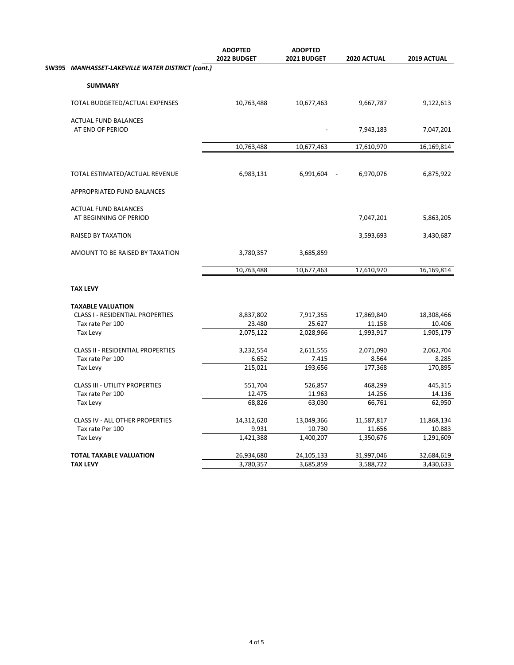|                                                       | <b>ADOPTED</b><br>2022 BUDGET | <b>ADOPTED</b><br>2021 BUDGET         | 2020 ACTUAL | 2019 ACTUAL |
|-------------------------------------------------------|-------------------------------|---------------------------------------|-------------|-------------|
| SW395 MANHASSET-LAKEVILLE WATER DISTRICT (cont.)      |                               |                                       |             |             |
|                                                       |                               |                                       |             |             |
| <b>SUMMARY</b>                                        |                               |                                       |             |             |
| TOTAL BUDGETED/ACTUAL EXPENSES                        | 10,763,488                    | 10,677,463                            | 9,667,787   | 9,122,613   |
| <b>ACTUAL FUND BALANCES</b><br>AT END OF PERIOD       |                               |                                       | 7,943,183   | 7,047,201   |
|                                                       | 10,763,488                    | 10,677,463                            | 17,610,970  | 16,169,814  |
|                                                       |                               |                                       |             |             |
| TOTAL ESTIMATED/ACTUAL REVENUE                        | 6,983,131                     | 6,991,604<br>$\overline{\phantom{a}}$ | 6,970,076   | 6,875,922   |
| APPROPRIATED FUND BALANCES                            |                               |                                       |             |             |
| <b>ACTUAL FUND BALANCES</b><br>AT BEGINNING OF PERIOD |                               |                                       | 7,047,201   | 5,863,205   |
| <b>RAISED BY TAXATION</b>                             |                               |                                       | 3,593,693   | 3,430,687   |
| AMOUNT TO BE RAISED BY TAXATION                       | 3,780,357                     | 3,685,859                             |             |             |
|                                                       | 10,763,488                    | 10,677,463                            | 17,610,970  | 16,169,814  |
| <b>TAX LEVY</b>                                       |                               |                                       |             |             |
| <b>TAXABLE VALUATION</b>                              |                               |                                       |             |             |
| <b>CLASS I - RESIDENTIAL PROPERTIES</b>               | 8,837,802                     | 7,917,355                             | 17,869,840  | 18,308,466  |
| Tax rate Per 100                                      | 23.480                        | 25.627                                | 11.158      | 10.406      |
| Tax Levy                                              | 2,075,122                     | 2,028,966                             | 1,993,917   | 1,905,179   |
| CLASS II - RESIDENTIAL PROPERTIES                     | 3,232,554                     | 2,611,555                             | 2,071,090   | 2,062,704   |
| Tax rate Per 100                                      | 6.652                         | 7.415                                 | 8.564       | 8.285       |
| Tax Levy                                              | 215,021                       | 193,656                               | 177,368     | 170,895     |
| <b>CLASS III - UTILITY PROPERTIES</b>                 | 551,704                       | 526,857                               | 468,299     | 445,315     |
| Tax rate Per 100                                      | 12.475                        | 11.963                                | 14.256      | 14.136      |
| Tax Levy                                              | 68,826                        | 63,030                                | 66,761      | 62,950      |
| CLASS IV - ALL OTHER PROPERTIES                       | 14,312,620                    | 13,049,366                            | 11,587,817  | 11,868,134  |
| Tax rate Per 100                                      | 9.931                         | 10.730                                | 11.656      | 10.883      |
| Tax Levy                                              | 1,421,388                     | 1,400,207                             | 1,350,676   | 1,291,609   |
| <b>TOTAL TAXABLE VALUATION</b>                        | 26,934,680                    | 24,105,133                            | 31,997,046  | 32,684,619  |
| <b>TAX LEVY</b>                                       | 3,780,357                     | 3,685,859                             | 3,588,722   | 3,430,633   |